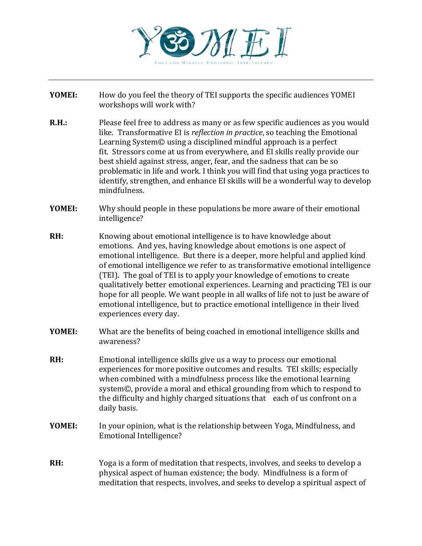

- **YOMEI:** How do you feel the theory of TEI supports the specific audiences YOMEI workshops will work with?
- **R.H.:** Please feel free to address as many or as few specific audiences as you would like. Transformative EI is *reflection in practice*, so teaching the Emotional Learning System© using a disciplined mindful approach is a perfect fit. Stressors come at us from everywhere, and EI skills really provide our best shield against stress, anger, fear, and the sadness that can be so problematic in life and work. I think you will find that using yoga practices to identify, strengthen, and enhance EI skills will be a wonderful way to develop mindfulness.
- **YOMEI:** Why should people in these populations be more aware of their emotional intelligence?
- **RH:** Knowing about emotional intelligence is to have knowledge about emotions. And yes, having knowledge about emotions is one aspect of emotional intelligence. But there is a deeper, more helpful and applied kind of emotional intelligence we refer to as transformative emotional intelligence (TEI). The goal of TEI is to apply your knowledge of emotions to create qualitatively better emotional experiences. Learning and practicing TEI is our hope for all people. We want people in all walks of life not to just be aware of emotional intelligence, but to practice emotional intelligence in their lived experiences every day.
- **YOMEI:** What are the benefits of being coached in emotional intelligence skills and awareness?
- **RH:** Emotional intelligence skills give us a way to process our emotional experiences for more positive outcomes and results. TEI skills; especially when combined with a mindfulness process like the emotional learning system©, provide a moral and ethical grounding from which to respond to the difficulty and highly charged situations that each of us confront on a daily basis.
- **YOMEI:** In your opinion, what is the relationship between Yoga, Mindfulness, and Emotional Intelligence?
- **RH:** Yoga is a form of meditation that respects, involves, and seeks to develop a physical aspect of human existence; the body. Mindfulness is a form of meditation that respects, involves, and seeks to develop a spiritual aspect of